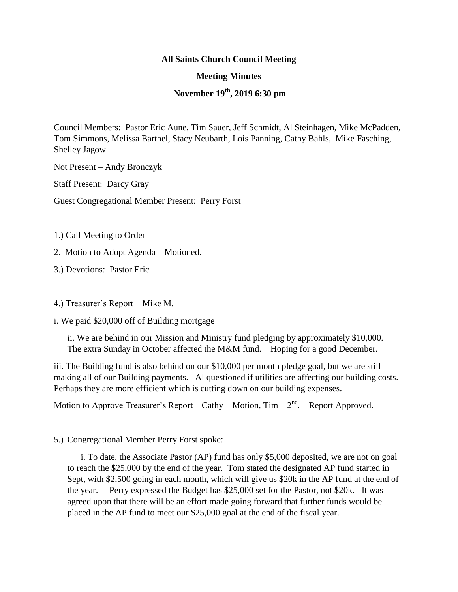#### **All Saints Church Council Meeting**

#### **Meeting Minutes**

# **November 19th, 2019 6:30 pm**

Council Members: Pastor Eric Aune, Tim Sauer, Jeff Schmidt, Al Steinhagen, Mike McPadden, Tom Simmons, Melissa Barthel, Stacy Neubarth, Lois Panning, Cathy Bahls, Mike Fasching, Shelley Jagow

Not Present – Andy Bronczyk

Staff Present: Darcy Gray

Guest Congregational Member Present: Perry Forst

1.) Call Meeting to Order

2. Motion to Adopt Agenda – Motioned.

3.) Devotions: Pastor Eric

4.) Treasurer's Report – Mike M.

i. We paid \$20,000 off of Building mortgage

ii. We are behind in our Mission and Ministry fund pledging by approximately \$10,000. The extra Sunday in October affected the M&M fund. Hoping for a good December.

iii. The Building fund is also behind on our \$10,000 per month pledge goal, but we are still making all of our Building payments. Al questioned if utilities are affecting our building costs. Perhaps they are more efficient which is cutting down on our building expenses.

Motion to Approve Treasurer's Report – Cathy – Motion,  $\text{Tim} - 2^{\text{nd}}$ . Report Approved.

5.) Congregational Member Perry Forst spoke:

i. To date, the Associate Pastor (AP) fund has only \$5,000 deposited, we are not on goal to reach the \$25,000 by the end of the year. Tom stated the designated AP fund started in Sept, with \$2,500 going in each month, which will give us \$20k in the AP fund at the end of the year. Perry expressed the Budget has \$25,000 set for the Pastor, not \$20k. It was agreed upon that there will be an effort made going forward that further funds would be placed in the AP fund to meet our \$25,000 goal at the end of the fiscal year.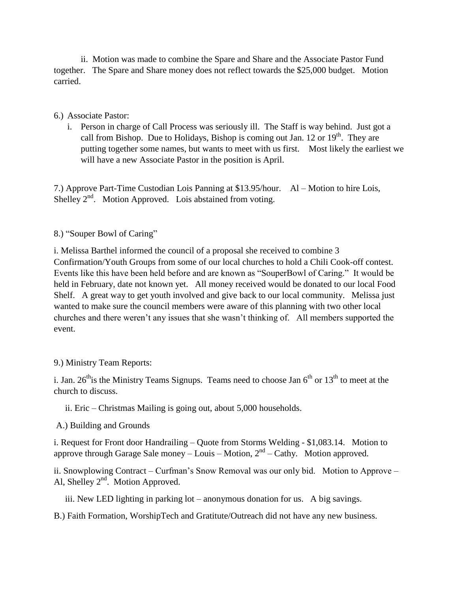ii. Motion was made to combine the Spare and Share and the Associate Pastor Fund together. The Spare and Share money does not reflect towards the \$25,000 budget. Motion carried.

### 6.) Associate Pastor:

i. Person in charge of Call Process was seriously ill. The Staff is way behind. Just got a call from Bishop. Due to Holidays, Bishop is coming out Jan. 12 or  $19<sup>th</sup>$ . They are putting together some names, but wants to meet with us first. Most likely the earliest we will have a new Associate Pastor in the position is April.

7.) Approve Part-Time Custodian Lois Panning at \$13.95/hour. Al – Motion to hire Lois, Shelley  $2<sup>nd</sup>$ . Motion Approved. Lois abstained from voting.

## 8.) "Souper Bowl of Caring"

i. Melissa Barthel informed the council of a proposal she received to combine 3 Confirmation/Youth Groups from some of our local churches to hold a Chili Cook-off contest. Events like this have been held before and are known as "SouperBowl of Caring." It would be held in February, date not known yet. All money received would be donated to our local Food Shelf. A great way to get youth involved and give back to our local community. Melissa just wanted to make sure the council members were aware of this planning with two other local churches and there weren't any issues that she wasn't thinking of. All members supported the event.

### 9.) Ministry Team Reports:

i. Jan.  $26<sup>th</sup>$  is the Ministry Teams Signups. Teams need to choose Jan  $6<sup>th</sup>$  or  $13<sup>th</sup>$  to meet at the church to discuss.

ii. Eric – Christmas Mailing is going out, about 5,000 households.

A.) Building and Grounds

i. Request for Front door Handrailing – Quote from Storms Welding - \$1,083.14. Motion to approve through Garage Sale money – Louis – Motion,  $2<sup>nd</sup>$  – Cathy. Motion approved.

ii. Snowplowing Contract – Curfman's Snow Removal was our only bid. Motion to Approve – Al, Shelley  $2^{nd}$ . Motion Approved.

iii. New LED lighting in parking lot – anonymous donation for us. A big savings.

B.) Faith Formation, WorshipTech and Gratitute/Outreach did not have any new business.